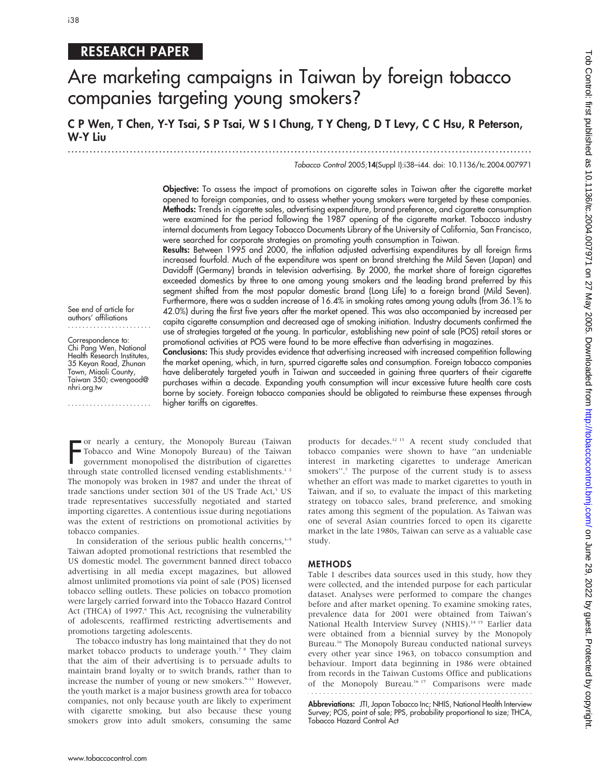# RESEARCH PAPER

# Are marketing campaigns in Taiwan by foreign tobacco companies targeting young smokers?

C P Wen, T Chen, Y-Y Tsai, S P Tsai, W S I Chung, T Y Cheng, D T Levy, C C Hsu, R Peterson, W-Y Liu

...............................................................................................................................

#### Tobacco Control 2005;14(Suppl I):i38–i44. doi: 10.1136/tc.2004.007971

Objective: To assess the impact of promotions on cigarette sales in Taiwan after the cigarette market opened to foreign companies, and to assess whether young smokers were targeted by these companies. Methods: Trends in cigarette sales, advertising expenditure, brand preference, and cigarette consumption were examined for the period following the 1987 opening of the cigarette market. Tobacco industry internal documents from Legacy Tobacco Documents Library of the University of California, San Francisco, were searched for corporate strategies on promoting youth consumption in Taiwan.

Results: Between 1995 and 2000, the inflation adjusted advertising expenditures by all foreign firms increased fourfold. Much of the expenditure was spent on brand stretching the Mild Seven (Japan) and Davidoff (Germany) brands in television advertising. By 2000, the market share of foreign cigarettes exceeded domestics by three to one among young smokers and the leading brand preferred by this segment shifted from the most popular domestic brand (Long Life) to a foreign brand (Mild Seven). Furthermore, there was a sudden increase of 16.4% in smoking rates among young adults (from 36.1% to 42.0%) during the first five years after the market opened. This was also accompanied by increased per capita cigarette consumption and decreased age of smoking initiation. Industry documents confirmed the use of strategies targeted at the young. In particular, establishing new point of sale (POS) retail stores or promotional activities at POS were found to be more effective than advertising in magazines.

Conclusions: This study provides evidence that advertising increased with increased competition following the market opening, which, in turn, spurred cigarette sales and consumption. Foreign tobacco companies have deliberately targeted youth in Taiwan and succeeded in gaining three quarters of their cigarette purchases within a decade. Expanding youth consumption will incur excessive future health care costs borne by society. Foreign tobacco companies should be obligated to reimburse these expenses through higher tariffs on cigarettes.

See end of article for authors' affiliations .......................

Correspondence to: Chi Pang Wen, National Health Research Institutes, 35 Keyan Road, Zhunan Town, Miaoli County, Taiwan 350; cwengood@ nhri.org.tw

.......................

For nearly a century, the Monopoly Bureau (Taiwan<br>Tobacco and Wine Monopoly Bureau) of the Taiwan<br>government monopolised the distribution of cigarettes<br>through state controlled licensed vending establishments.<sup>1,2</sup> or nearly a century, the Monopoly Bureau (Taiwan Tobacco and Wine Monopoly Bureau) of the Taiwan government monopolised the distribution of cigarettes The monopoly was broken in 1987 and under the threat of trade sanctions under section 301 of the US Trade Act,<sup>3</sup> US trade representatives successfully negotiated and started importing cigarettes. A contentious issue during negotiations was the extent of restrictions on promotional activities by tobacco companies.

In consideration of the serious public health concerns, $3-5$ Taiwan adopted promotional restrictions that resembled the US domestic model. The government banned direct tobacco advertising in all media except magazines, but allowed almost unlimited promotions via point of sale (POS) licensed tobacco selling outlets. These policies on tobacco promotion were largely carried forward into the Tobacco Hazard Control Act (THCA) of 1997.<sup>6</sup> This Act, recognising the vulnerability of adolescents, reaffirmed restricting advertisements and promotions targeting adolescents.

The tobacco industry has long maintained that they do not market tobacco products to underage youth.<sup>7 8</sup> They claim that the aim of their advertising is to persuade adults to maintain brand loyalty or to switch brands, rather than to increase the number of young or new smokers.<sup>9-11</sup> However, the youth market is a major business growth area for tobacco companies, not only because youth are likely to experiment with cigarette smoking, but also because these young smokers grow into adult smokers, consuming the same products for decades.12 13 A recent study concluded that tobacco companies were shown to have ''an undeniable interest in marketing cigarettes to underage American smokers''.7 The purpose of the current study is to assess whether an effort was made to market cigarettes to youth in Taiwan, and if so, to evaluate the impact of this marketing strategy on tobacco sales, brand preference, and smoking rates among this segment of the population. As Taiwan was one of several Asian countries forced to open its cigarette market in the late 1980s, Taiwan can serve as a valuable case study.

#### METHODS

Table 1 describes data sources used in this study, how they were collected, and the intended purpose for each particular dataset. Analyses were performed to compare the changes before and after market opening. To examine smoking rates, prevalence data for 2001 were obtained from Taiwan's National Health Interview Survey (NHIS).<sup>14 15</sup> Earlier data were obtained from a biennial survey by the Monopoly Bureau.16 The Monopoly Bureau conducted national surveys every other year since 1963, on tobacco consumption and behaviour. Import data beginning in 1986 were obtained from records in the Taiwan Customs Office and publications of the Monopoly Bureau.<sup>16 17</sup> Comparisons were made 

Abbreviations: JTI, Japan Tobacco Inc; NHIS, National Health Interview Survey; POS, point of sale; PPS, probability proportional to size; THCA, Tobacco Hazard Control Act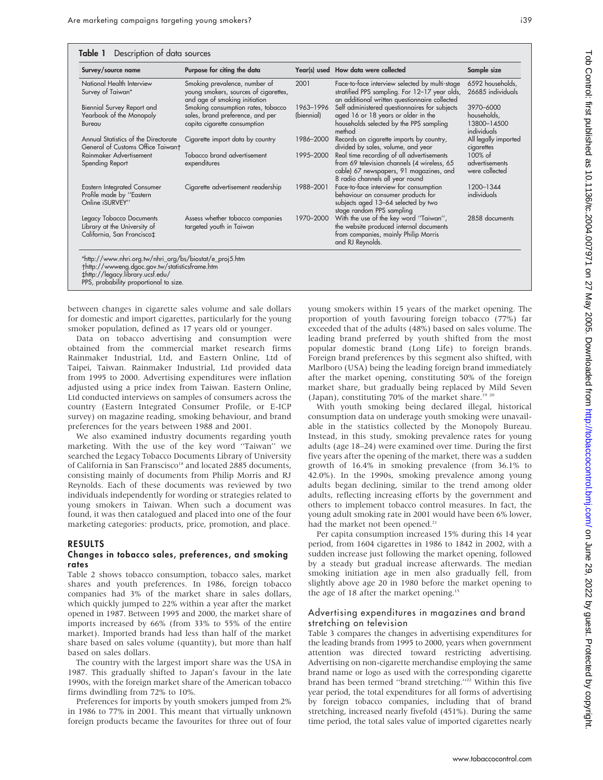| Survey/source name                                                                     | Purpose for citing the data                                                                             |                         | Year(s) used How data were collected                                                                                                                                   | Sample size                                            |
|----------------------------------------------------------------------------------------|---------------------------------------------------------------------------------------------------------|-------------------------|------------------------------------------------------------------------------------------------------------------------------------------------------------------------|--------------------------------------------------------|
| National Health Interview<br>Survey of Taiwan*                                         | Smoking prevalence, number of<br>young smokers, sources of cigarettes,<br>and age of smoking initiation | 2001                    | Face-to-face interview selected by multi-stage<br>stratified PPS sampling. For 12-17 year olds,<br>an additional written questionnaire collected                       | 6592 households,<br>26685 individuals                  |
| Biennial Survey Report and<br>Yearbook of the Monopoly<br>Bureau                       | Smoking consumption rates, tobacco<br>sales, brand preference, and per<br>capita cigarette consumption  | 1963-1996<br>(biennial) | Self administered questionnaires for subjects<br>aged 16 or 18 years or older in the<br>households selected by the PPS sampling<br>method                              | 3970-6000<br>households,<br>13800-14500<br>individuals |
| Annual Statistics of the Directorate<br>General of Customs Office Taiwant              | Cigarette import data by country                                                                        | 1986-2000               | Records on cigarette imports by country,<br>divided by sales, volume, and year                                                                                         | All legally imported<br>cigarettes                     |
| Rainmaker Advertisement<br>Spending Report                                             | Tobacco brand advertisement<br>expenditures                                                             | 1995-2000               | Real time recording of all advertisements<br>from 69 television channels (4 wireless, 65<br>cable) 67 newspapers, 91 magazines, and<br>8 radio channels all year round | 100% of<br>advertisements<br>were collected            |
| <b>Eastern Integrated Consumer</b><br>Profile made by "Eastern<br>Online iSURVEY"      | Cigarette advertisement readership                                                                      | 1988-2001               | Face-to-face interview for consumption<br>behaviour on consumer products for<br>subjects aged 13-64 selected by two<br>stage random PPS sampling                       | 1200-1344<br>individuals                               |
| Legacy Tobacco Documents<br>Library at the University of<br>California, San Francisco‡ | Assess whether tobacco companies<br>targeted youth in Taiwan                                            | 1970-2000               | With the use of the key word "Taiwan",<br>the website produced internal documents<br>from companies, mainly Philip Morris<br>and RJ Reynolds.                          | 2858 documents                                         |

`http://legacy.library.ucsf.edu/

between changes in cigarette sales volume and sale dollars for domestic and import cigarettes, particularly for the young smoker population, defined as 17 years old or younger.

Data on tobacco advertising and consumption were obtained from the commercial market research firms Rainmaker Industrial, Ltd, and Eastern Online, Ltd of Taipei, Taiwan. Rainmaker Industrial, Ltd provided data from 1995 to 2000. Advertising expenditures were inflation adjusted using a price index from Taiwan. Eastern Online, Ltd conducted interviews on samples of consumers across the country (Eastern Integrated Consumer Profile, or E-ICP survey) on magazine reading, smoking behaviour, and brand preferences for the years between 1988 and 2001.

We also examined industry documents regarding youth marketing. With the use of the key word ''Taiwan'' we searched the Legacy Tobacco Documents Library of University of California in San Franscisco<sup>18</sup> and located 2885 documents, consisting mainly of documents from Philip Morris and RJ Reynolds. Each of these documents was reviewed by two individuals independently for wording or strategies related to young smokers in Taiwan. When such a document was found, it was then catalogued and placed into one of the four marketing categories: products, price, promotion, and place.

#### RESULTS

#### Changes in tobacco sales, preferences, and smoking rates

Table 2 shows tobacco consumption, tobacco sales, market shares and youth preferences. In 1986, foreign tobacco companies had 3% of the market share in sales dollars, which quickly jumped to 22% within a year after the market opened in 1987. Between 1995 and 2000, the market share of imports increased by 66% (from 33% to 55% of the entire market). Imported brands had less than half of the market share based on sales volume (quantity), but more than half based on sales dollars.

The country with the largest import share was the USA in 1987. This gradually shifted to Japan's favour in the late 1990s, with the foreign market share of the American tobacco firms dwindling from 72% to 10%.

Preferences for imports by youth smokers jumped from 2% in 1986 to 77% in 2001. This meant that virtually unknown foreign products became the favourites for three out of four young smokers within 15 years of the market opening. The proportion of youth favouring foreign tobacco (77%) far exceeded that of the adults (48%) based on sales volume. The leading brand preferred by youth shifted from the most popular domestic brand (Long Life) to foreign brands. Foreign brand preferences by this segment also shifted, with Marlboro (USA) being the leading foreign brand immediately after the market opening, constituting 50% of the foreign market share, but gradually being replaced by Mild Seven (Japan), constituting 70% of the market share.<sup>19 20</sup>

With youth smoking being declared illegal, historical consumption data on underage youth smoking were unavailable in the statistics collected by the Monopoly Bureau. Instead, in this study, smoking prevalence rates for young adults (age 18–24) were examined over time. During the first five years after the opening of the market, there was a sudden growth of 16.4% in smoking prevalence (from 36.1% to 42.0%). In the 1990s, smoking prevalence among young adults began declining, similar to the trend among older adults, reflecting increasing efforts by the government and others to implement tobacco control measures. In fact, the young adult smoking rate in 2001 would have been 6% lower, had the market not been opened.<sup>21</sup>

Per capita consumption increased 15% during this 14 year period, from 1604 cigarettes in 1986 to 1842 in 2002, with a sudden increase just following the market opening, followed by a steady but gradual increase afterwards. The median smoking initiation age in men also gradually fell, from slightly above age 20 in 1980 before the market opening to the age of 18 after the market opening.<sup>15</sup>

#### Advertising expenditures in magazines and brand stretching on television

Table 3 compares the changes in advertising expenditures for the leading brands from 1995 to 2000, years when government attention was directed toward restricting advertising. Advertising on non-cigarette merchandise employing the same brand name or logo as used with the corresponding cigarette brand has been termed "brand stretching."<sup>22</sup> Within this five year period, the total expenditures for all forms of advertising by foreign tobacco companies, including that of brand stretching, increased nearly fivefold (451%). During the same time period, the total sales value of imported cigarettes nearly

PPS, probability proportional to size.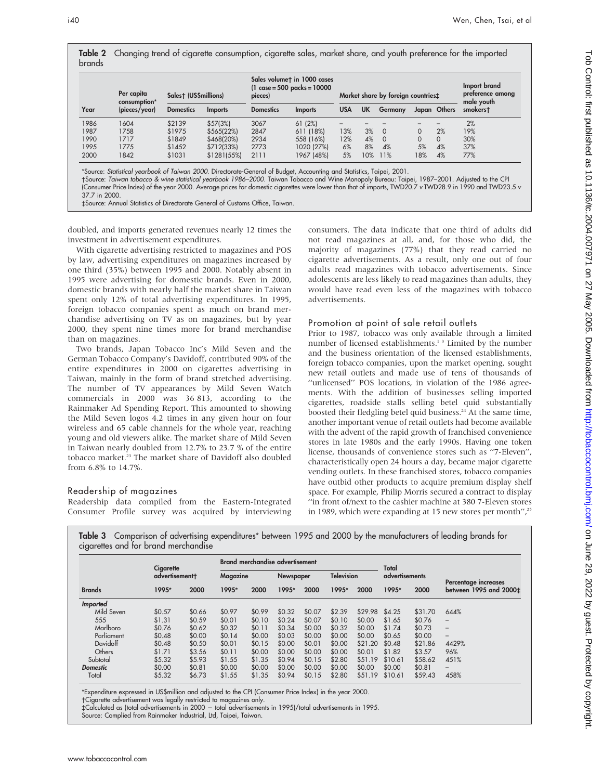|        | Table 2 Changing trend of cigarette consumption, cigarette sales, market share, and youth preference for the imported |  |  |  |  |
|--------|-----------------------------------------------------------------------------------------------------------------------|--|--|--|--|
| brands |                                                                                                                       |  |  |  |  |

|      | Per capita<br>consumption* | Salest (US\$millions) |                | Sales volumet in 1000 cases<br>(1 case = 500 packs = 10000<br>pieces) |                | Market share by foreign countries# |           |          |          | Import brand<br>preference among<br>male youth |          |
|------|----------------------------|-----------------------|----------------|-----------------------------------------------------------------------|----------------|------------------------------------|-----------|----------|----------|------------------------------------------------|----------|
| Year | (pieces/year)              | <b>Domestics</b>      | <b>Imports</b> | <b>Domestics</b>                                                      | <b>Imports</b> | <b>USA</b>                         | <b>UK</b> | Germany  |          | Japan Others                                   | smokerst |
| 1986 | 1604                       | \$2139                | \$57(3%)       | 3067                                                                  | 61(2%)         | -                                  |           |          |          |                                                | 2%       |
| 1987 | 1758                       | \$1975                | \$565(22%)     | 2847                                                                  | 611 (18%)      | 13%                                | 3%        | $\circ$  | $\Omega$ | 2%                                             | 19%      |
| 1990 | 1717                       | \$1849                | \$468(20%)     | 2934                                                                  | 558 (16%)      | 12%                                | 4%        | $\Omega$ | $\Omega$ | $\Omega$                                       | 30%      |
| 1995 | 1775                       | \$1452                | \$712(33%)     | 2773                                                                  | 1020 (27%)     | 6%                                 | 8%        | 4%       | 5%       | 4%                                             | 37%      |
| 2000 | 1842                       | \$1031                | \$1281(55%)    | 2111                                                                  | 1967 (48%)     | 5%                                 | 10%       | 11%      | 18%      | 4%                                             | 77%      |

\*Source: Statistical yearbook of Taiwan 2000. Directorate-General of Budget, Accounting and Statistics, Taipei, 2001.

Source: Taiwan tobacco & wine statistical yearbook 1986–2000. Taiwan Tobacco and Wine Monopoly Bureau: Taipei, 1987–2001. Adjusted to the CPI (Consumer Price Index) of the year 2000. Average prices for domestic cigarettes were lower than that of imports, TWD20.7 v TWD28.9 in 1990 and TWD23.5 v 37.7 in 2000.

`Source: Annual Statistics of Directorate General of Customs Office, Taiwan.

doubled, and imports generated revenues nearly 12 times the investment in advertisement expenditures.

With cigarette advertising restricted to magazines and POS by law, advertising expenditures on magazines increased by one third (35%) between 1995 and 2000. Notably absent in 1995 were advertising for domestic brands. Even in 2000, domestic brands with nearly half the market share in Taiwan spent only 12% of total advertising expenditures. In 1995, foreign tobacco companies spent as much on brand merchandise advertising on TV as on magazines, but by year 2000, they spent nine times more for brand merchandise than on magazines.

Two brands, Japan Tobacco Inc's Mild Seven and the German Tobacco Company's Davidoff, contributed 90% of the entire expenditures in 2000 on cigarettes advertising in Taiwan, mainly in the form of brand stretched advertising. The number of TV appearances by Mild Seven Watch commercials in 2000 was 36 813, according to the Rainmaker Ad Spending Report. This amounted to showing the Mild Seven logos 4.2 times in any given hour on four wireless and 65 cable channels for the whole year, reaching young and old viewers alike. The market share of Mild Seven in Taiwan nearly doubled from 12.7% to 23.7 % of the entire tobacco market.<sup>23</sup> The market share of Davidoff also doubled from 6.8% to 14.7%.

## Readership of magazines

Readership data compiled from the Eastern-Integrated Consumer Profile survey was acquired by interviewing consumers. The data indicate that one third of adults did not read magazines at all, and, for those who did, the majority of magazines (77%) that they read carried no cigarette advertisements. As a result, only one out of four adults read magazines with tobacco advertisements. Since adolescents are less likely to read magazines than adults, they would have read even less of the magazines with tobacco advertisements.

#### Promotion at point of sale retail outlets

Prior to 1987, tobacco was only available through a limited number of licensed establishments.<sup>13</sup> Limited by the number and the business orientation of the licensed establishments, foreign tobacco companies, upon the market opening, sought new retail outlets and made use of tens of thousands of ''unlicensed'' POS locations, in violation of the 1986 agreements. With the addition of businesses selling imported cigarettes, roadside stalls selling betel quid substantially boosted their fledgling betel quid business.<sup>24</sup> At the same time, another important venue of retail outlets had become available with the advent of the rapid growth of franchised convenience stores in late 1980s and the early 1990s. Having one token license, thousands of convenience stores such as ''7-Eleven'', characteristically open 24 hours a day, became major cigarette vending outlets. In these franchised stores, tobacco companies have outbid other products to acquire premium display shelf space. For example, Philip Morris secured a contract to display ''in front of/next to the cashier machine at 380 7-Eleven stores in 1989, which were expanding at 15 new stores per month", $25$ 

|                 | Cigarette<br>advertisementt |        | <b>Brand merchandise advertisement</b> |        |                  |        |                   |         | Total          |         |                        |  |
|-----------------|-----------------------------|--------|----------------------------------------|--------|------------------|--------|-------------------|---------|----------------|---------|------------------------|--|
|                 |                             |        | Magazine                               |        | <b>Newspaper</b> |        | <b>Television</b> |         | advertisements |         | Percentage increases   |  |
| <b>Brands</b>   | 1995*                       | 2000   | 1995*                                  | 2000   | 1995*            | 2000   | 1995*             | 2000    | 1995*          | 2000    | between 1995 and 2000± |  |
| Imported        |                             |        |                                        |        |                  |        |                   |         |                |         |                        |  |
| Mild Seven      | \$0.57                      | \$0.66 | \$0.97                                 | \$0.99 | \$0.32           | \$0.07 | \$2.39            | \$29.98 | \$4.25         | \$31.70 | 644%                   |  |
| 555             | \$1.31                      | \$0.59 | \$0.01                                 | \$0.10 | \$0.24           | \$0.07 | \$0.10            | \$0.00  | \$1.65         | \$0.76  | $\qquad \qquad -$      |  |
| Marlboro        | \$0.76                      | \$0.62 | \$0.32                                 | \$0.11 | \$0.34           | \$0.00 | \$0.32            | \$0.00  | \$1.74         | \$0.73  | $\qquad \qquad -$      |  |
| Parliament      | \$0.48                      | \$0.00 | \$0.14                                 | \$0.00 | \$0.03           | \$0.00 | \$0.00            | \$0.00  | \$0.65         | \$0.00  | $\qquad \qquad -$      |  |
| Davidoff        | \$0.48                      | \$0.50 | \$0.01                                 | \$0.15 | \$0.00           | \$0.01 | \$0.00            | \$21.20 | \$0.48         | \$21.86 | 4429%                  |  |
| Others          | \$1.71                      | \$3.56 | \$0.11                                 | \$0.00 | \$0.00           | \$0.00 | \$0.00            | \$0.01  | \$1.82         | \$3.57  | 96%                    |  |
| Subtotal        | \$5.32                      | \$5.93 | \$1.55                                 | \$1.35 | \$0.94           | \$0.15 | \$2.80            | \$51.19 | \$10.61        | \$58.62 | 451%                   |  |
| <b>Domestic</b> | \$0.00                      | \$0.81 | \$0.00                                 | \$0.00 | \$0.00           | \$0.00 | \$0.00            | \$0.00  | \$0.00         | \$0.81  | -                      |  |
| Total           | \$5.32                      | \$6.73 | \$1.55                                 | \$1.35 | \$0.94           | \$0.15 | \$2.80            | \$51.19 | \$10.61        | \$59.43 | 458%                   |  |

Table 3 Comparison of advertising expenditures\* between 1995 and 2000 by the manufacturers of leading brands for cigarettes and for brand merchandise

\*Expenditure expressed in US\$million and adjusted to the CPI (Consumer Price Index) in the year 2000.

Cigarette advertisement was legally restricted to magazines only.

`Calculated as (total advertisements in 2000 2 total advertisements in 1995)/total advertisements in 1995.

Source: Complied from Rainmaker Industrial, Ltd, Taipei, Taiwan.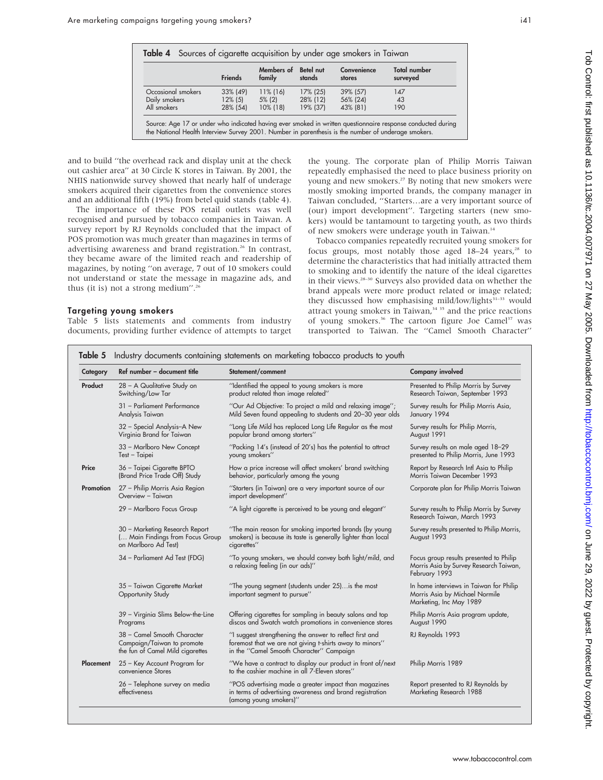|                    | <b>Friends</b> | Members of<br>family | Betel nut<br>stands | Convenience<br>stores | <b>Total number</b><br>surveyed |
|--------------------|----------------|----------------------|---------------------|-----------------------|---------------------------------|
| Occasional smokers | 33% (49)       | $11\%$ (16)          | 17% (25)            | 39% (57)              | 147                             |
| Daily smokers      | $12\%$ (5)     | $5\%$ (2)            | 28% (12)            | 56% (24)              | 43                              |
| All smokers        | 28% (54)       | 10% (18)             | 19% (37)            | 43% (81)              | 190                             |

and to build ''the overhead rack and display unit at the check out cashier area'' at 30 Circle K stores in Taiwan. By 2001, the NHIS nationwide survey showed that nearly half of underage smokers acquired their cigarettes from the convenience stores and an additional fifth (19%) from betel quid stands (table 4).

The importance of these POS retail outlets was well recognised and pursued by tobacco companies in Taiwan. A survey report by RJ Reynolds concluded that the impact of POS promotion was much greater than magazines in terms of advertising awareness and brand registration.<sup>26</sup> In contrast, they became aware of the limited reach and readership of magazines, by noting ''on average, 7 out of 10 smokers could not understand or state the message in magazine ads, and thus (it is) not a strong medium".<sup>26</sup>

#### Targeting young smokers

Table 5 lists statements and comments from industry documents, providing further evidence of attempts to target the young. The corporate plan of Philip Morris Taiwan repeatedly emphasised the need to place business priority on young and new smokers.<sup>27</sup> By noting that new smokers were mostly smoking imported brands, the company manager in Taiwan concluded, ''Starters…are a very important source of (our) import development''. Targeting starters (new smokers) would be tantamount to targeting youth, as two thirds of new smokers were underage youth in Taiwan.<sup>14</sup>

Tobacco companies repeatedly recruited young smokers for focus groups, most notably those aged  $18-24$  years,<sup>28</sup> to determine the characteristics that had initially attracted them to smoking and to identify the nature of the ideal cigarettes in their views.28–30 Surveys also provided data on whether the brand appeals were more product related or image related; they discussed how emphasising mild/low/lights<sup>31-33</sup> would attract young smokers in Taiwan,<sup>34 35</sup> and the price reactions of young smokers.<sup>36</sup> The cartoon figure Joe Camel<sup>37</sup> was transported to Taiwan. The ''Camel Smooth Character''

| Category                      | Ref number - document title                                                                   | Statement/comment                                                                                                                                                | <b>Company involved</b>                                                                              |
|-------------------------------|-----------------------------------------------------------------------------------------------|------------------------------------------------------------------------------------------------------------------------------------------------------------------|------------------------------------------------------------------------------------------------------|
| Product                       | 28 - A Qualitative Study on<br>Switching/Low Tar                                              | "Identified the appeal to young smokers is more<br>product related than image related"                                                                           | Presented to Philip Morris by Survey<br>Research Taiwan, September 1993                              |
|                               | 31 - Parliament Performance<br>Analysis Taiwan                                                | "Our Ad Objective: To project a mild and relaxing image";<br>Mild Seven found appealing to students and 20-30 year olds                                          | Survey results for Philip Morris Asia,<br>January 1994                                               |
|                               | 32 - Special Analysis-A New<br>Virginia Brand for Taiwan                                      | "Long Life Mild has replaced Long Life Regular as the most<br>popular brand among starters"                                                                      | Survey results for Philip Morris,<br>August 1991                                                     |
|                               | 33 - Marlboro New Concept<br>Test - Taipei                                                    | "Packing 14's (instead of 20's) has the potential to attract<br>young smokers"                                                                                   | Survey results on male aged 18-29<br>presented to Philip Morris, June 1993                           |
| Price                         | 36 - Taipei Cigarette BPTO<br>(Brand Price Trade Off) Study                                   | How a price increase will affect smokers' brand switching<br>behavior, particularly among the young                                                              | Report by Research Intl Asia to Philip<br>Morris Taiwan December 1993                                |
| <b>Promotion</b>              | 27 - Philip Morris Asia Region<br>Overview - Taiwan                                           | "Starters (in Taiwan) are a very important source of our<br>import development"                                                                                  | Corporate plan for Philip Morris Taiwan                                                              |
|                               | 29 - Marlboro Focus Group                                                                     | "A light cigarette is perceived to be young and elegant"                                                                                                         | Survey results to Philip Morris by Survey<br>Research Taiwan, March 1993                             |
|                               | 30 - Marketing Research Report<br>( Main Findings from Focus Group<br>on Marlboro Ad Test)    | "The main reason for smoking imported brands (by young<br>smokers) is because its taste is generally lighter than local<br>cigarettes"                           | Survey results presented to Philip Morris,<br>August 1993                                            |
| 34 - Parliament Ad Test (FDG) | "To young smokers, we should convey both light/mild, and<br>a relaxing feeling (in our ads)"  | Focus group results presented to Philip<br>Morris Asia by Survey Research Taiwan,<br>February 1993                                                               |                                                                                                      |
|                               | 35 - Taiwan Cigarette Market<br>Opportunity Study                                             | "The young segment (students under 25) is the most<br>important segment to pursue"                                                                               | In home interviews in Taiwan for Philip<br>Morris Asia by Michael Normile<br>Marketing, Inc May 1989 |
|                               | 39 - Virginia Slims Below-the-Line<br>Programs                                                | Offering cigarettes for sampling in beauty salons and top<br>discos and Swatch watch promotions in convenience stores                                            | Philip Morris Asia program update,<br>August 1990                                                    |
|                               | 38 - Camel Smooth Character<br>Campaign/Taiwan to promote<br>the fun of Camel Mild cigarettes | "I suggest strengthening the answer to reflect first and<br>foremost that we are not giving t-shirts away to minors"<br>in the "Camel Smooth Character" Campaign | RJ Reynolds 1993                                                                                     |
| <b>Placement</b>              | 25 - Key Account Program for<br>convenience Stores                                            | "We have a contract to display our product in front of/next<br>to the cashier machine in all 7-Eleven stores"                                                    | Philip Morris 1989                                                                                   |
|                               | 26 - Telephone survey on media<br>effectiveness                                               | "POS advertising made a greater impact than magazines<br>in terms of advertising awareness and brand registration<br>(among young smokers)"                      | Report presented to RJ Reynolds by<br>Marketing Research 1988                                        |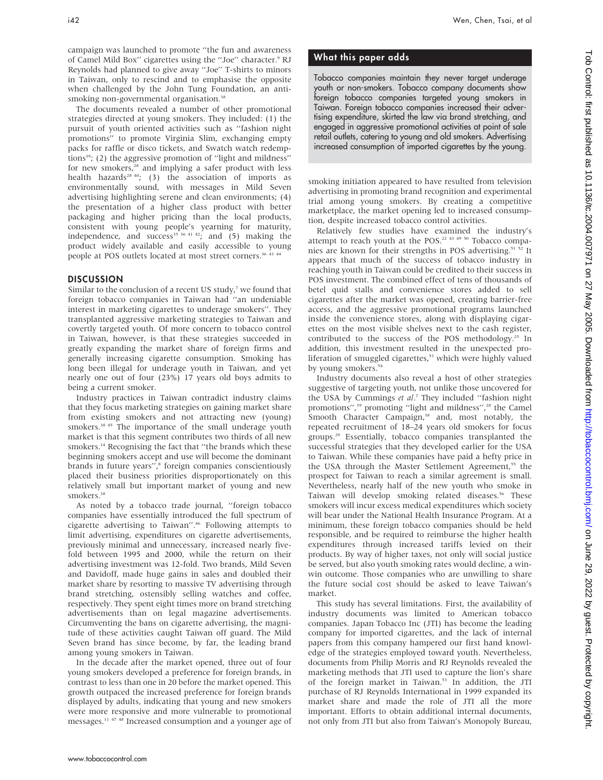campaign was launched to promote ''the fun and awareness of Camel Mild Box" cigarettes using the "Joe" character.<sup>9</sup> RJ Reynolds had planned to give away ''Joe'' T-shirts to minors in Taiwan, only to rescind and to emphasise the opposite when challenged by the John Tung Foundation, an antismoking non-governmental organisation.<sup>38</sup>

The documents revealed a number of other promotional strategies directed at young smokers. They included: (1) the pursuit of youth oriented activities such as ''fashion night promotions'' to promote Virginia Slim, exchanging empty packs for raffle or disco tickets, and Swatch watch redemptions<sup>39</sup>; (2) the aggressive promotion of "light and mildness" for new smokers,<sup>28</sup> and implying a safer product with less health hazards<sup>28 40</sup>; (3) the association of imports as environmentally sound, with messages in Mild Seven advertising highlighting serene and clean environments; (4) the presentation of a higher class product with better packaging and higher pricing than the local products, consistent with young people's yearning for maturity, independence, and success<sup>35 36 41 42</sup>; and  $(5)$  making the product widely available and easily accessible to young people at POS outlets located at most street corners.<sup>36 43 44</sup>

#### **DISCUSSION**

Similar to the conclusion of a recent US study, $7$  we found that foreign tobacco companies in Taiwan had ''an undeniable interest in marketing cigarettes to underage smokers''. They transplanted aggressive marketing strategies to Taiwan and covertly targeted youth. Of more concern to tobacco control in Taiwan, however, is that these strategies succeeded in greatly expanding the market share of foreign firms and generally increasing cigarette consumption. Smoking has long been illegal for underage youth in Taiwan, and yet nearly one out of four (23%) 17 years old boys admits to being a current smoker.

Industry practices in Taiwan contradict industry claims that they focus marketing strategies on gaining market share from existing smokers and not attracting new (young) smokers.<sup>38 45</sup> The importance of the small underage youth market is that this segment contributes two thirds of all new smokers.<sup>14</sup> Recognising the fact that "the brands which these beginning smokers accept and use will become the dominant brands in future years",<sup>8</sup> foreign companies conscientiously placed their business priorities disproportionately on this relatively small but important market of young and new smokers.<sup>36</sup>

As noted by a tobacco trade journal, ''foreign tobacco companies have essentially introduced the full spectrum of cigarette advertising to Taiwan''.46 Following attempts to limit advertising, expenditures on cigarette advertisements, previously minimal and unnecessary, increased nearly fivefold between 1995 and 2000, while the return on their advertising investment was 12-fold. Two brands, Mild Seven and Davidoff, made huge gains in sales and doubled their market share by resorting to massive TV advertising through brand stretching, ostensibly selling watches and coffee, respectively. They spent eight times more on brand stretching advertisements than on legal magazine advertisements. Circumventing the bans on cigarette advertising, the magnitude of these activities caught Taiwan off guard. The Mild Seven brand has since become, by far, the leading brand among young smokers in Taiwan.

In the decade after the market opened, three out of four young smokers developed a preference for foreign brands, in contrast to less than one in 20 before the market opened. This growth outpaced the increased preference for foreign brands displayed by adults, indicating that young and new smokers were more responsive and more vulnerable to promotional messages.11 47 48 Increased consumption and a younger age of

## What this paper adds

Tobacco companies maintain they never target underage youth or non-smokers. Tobacco company documents show foreign tobacco companies targeted young smokers in Taiwan. Foreign tobacco companies increased their advertising expenditure, skirted the law via brand stretching, and engaged in aggressive promotional activities at point of sale retail outlets, catering to young and old smokers. Advertising increased consumption of imported cigarettes by the young.

smoking initiation appeared to have resulted from television advertising in promoting brand recognition and experimental trial among young smokers. By creating a competitive marketplace, the market opening led to increased consumption, despite increased tobacco control activities.

Relatively few studies have examined the industry's attempt to reach youth at the POS.<sup>22 43 49 50</sup> Tobacco companies are known for their strengths in POS advertising.<sup>51 52</sup> It appears that much of the success of tobacco industry in reaching youth in Taiwan could be credited to their success in POS investment. The combined effect of tens of thousands of betel quid stalls and convenience stores added to sell cigarettes after the market was opened, creating barrier-free access, and the aggressive promotional programs launched inside the convenience stores, along with displaying cigarettes on the most visible shelves next to the cash register, contributed to the success of the POS methodology.25 In addition, this investment resulted in the unexpected proliferation of smuggled cigarettes,<sup>53</sup> which were highly valued by young smokers.<sup>54</sup>

Industry documents also reveal a host of other strategies suggestive of targeting youth, not unlike those uncovered for the USA by Cummings et al.<sup>7</sup> They included "fashion night promotions",<sup>39</sup> promoting "light and mildness",<sup>28</sup> the Camel Smooth Character Campaign,<sup>38</sup> and, most notably, the repeated recruitment of 18–24 years old smokers for focus groups.29 Essentially, tobacco companies transplanted the successful strategies that they developed earlier for the USA to Taiwan. While these companies have paid a hefty price in the USA through the Master Settlement Agreement,<sup>55</sup> the prospect for Taiwan to reach a similar agreement is small. Nevertheless, nearly half of the new youth who smoke in Taiwan will develop smoking related diseases.<sup>56</sup> These smokers will incur excess medical expenditures which society will bear under the National Health Insurance Program. At a minimum, these foreign tobacco companies should be held responsible, and be required to reimburse the higher health expenditures through increased tariffs levied on their products. By way of higher taxes, not only will social justice be served, but also youth smoking rates would decline, a winwin outcome. Those companies who are unwilling to share the future social cost should be asked to leave Taiwan's market.

This study has several limitations. First, the availability of industry documents was limited to American tobacco companies. Japan Tobacco Inc (JTI) has become the leading company for imported cigarettes, and the lack of internal papers from this company hampered our first hand knowledge of the strategies employed toward youth. Nevertheless, documents from Philip Morris and RJ Reynolds revealed the marketing methods that JTI used to capture the lion's share of the foreign market in Taiwan.<sup>53</sup> In addition, the JTI purchase of RJ Reynolds International in 1999 expanded its market share and made the role of JTI all the more important. Efforts to obtain additional internal documents, not only from JTI but also from Taiwan's Monopoly Bureau,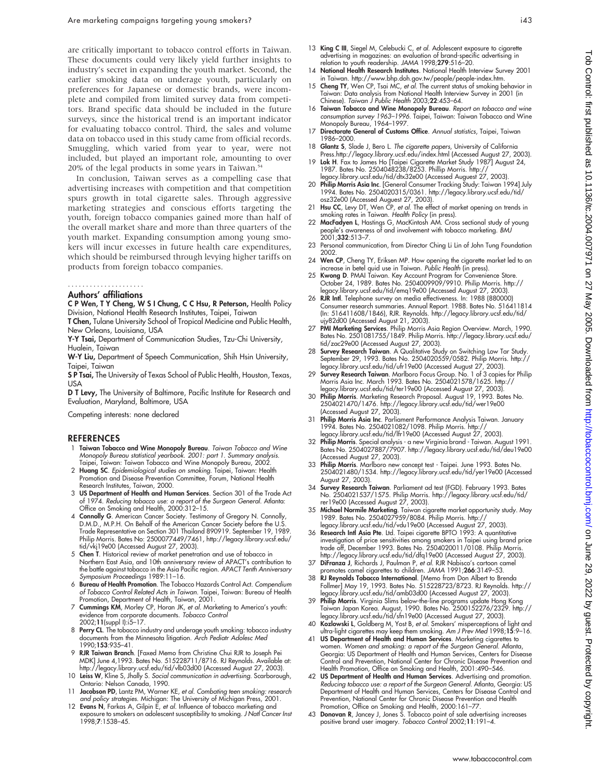are critically important to tobacco control efforts in Taiwan. These documents could very likely yield further insights to industry's secret in expanding the youth market. Second, the earlier smoking data on underage youth, particularly on preferences for Japanese or domestic brands, were incomplete and compiled from limited survey data from competitors. Brand specific data should be included in the future surveys, since the historical trend is an important indicator for evaluating tobacco control. Third, the sales and volume data on tobacco used in this study came from official records. Smuggling, which varied from year to year, were not included, but played an important role, amounting to over 20% of the legal products in some years in Taiwan.<sup>54</sup>

In conclusion, Taiwan serves as a compelling case that advertising increases with competition and that competition spurs growth in total cigarette sales. Through aggressive marketing strategies and conscious efforts targeting the youth, foreign tobacco companies gained more than half of the overall market share and more than three quarters of the youth market. Expanding consumption among young smokers will incur excesses in future health care expenditures, which should be reimbursed through levying higher tariffs on products from foreign tobacco companies.

### .....................

#### Authors' affiliations

C P Wen, T Y Cheng, W S I Chung, C C Hsu, R Peterson, Health Policy Division, National Health Research Institutes, Taipei, Taiwan

T Chen, Tulane University School of Tropical Medicine and Public Health, New Orleans, Louisiana, USA

Y-Y Tsai, Department of Communication Studies, Tzu-Chi University, Hualein, Taiwan

W-Y Liu, Department of Speech Communication, Shih Hsin University, Taipei, Taiwan

S P Tsai, The University of Texas School of Public Health, Houston, Texas, USA

D T Levy, The University of Baltimore, Pacific Institute for Research and Evaluation, Maryland, Baltimore, USA

Competing interests: none declared

#### REFERENCES

- 1 Taiwan Tobacco and Wine Monopoly Bureau. Taiwan Tobacco and Wine Monopoly Bureau statistical yearbook. 2001: part 1. Summary analysis. Taipei, Taiwan: Taiwan Tobacco and Wine Monopoly Bureau, 2002.
- 2 Huang SC. Epidemiological studies on smoking. Taipei, Taiwan: Health Promotion and Disease Prevention Committee, Forum, National Health Research Institutes, Taiwan, 2000.
- 3 US Department of Health and Human Services. Section 301 of the Trade Act of 1974. Reducing tobacco use: a report of the Surgeon General. Atlanta: Office on Smoking and Health, 2000:312–15.
- 4 Connolly G. American Cancer Society. Testimony of Gregory N. Connolly, D.M.D., M.P.H. On Behalf of the American Cancer Society before the U.S. Trade Representative on Section 301 Thailand 890919. September 19, 1989. Philip Morris. Bates No: 2500077449/7461, http://legacy.library.ucsf.edu/ tid/vkj19e00 (Accessed August 27, 2003).
- 5 Chen T. Historical review of market penetration and use of tobacco in Northern East Asia, and 10th anniversary review of APACT's contribution to the battle against tobacco in the Asia Pacific region. APACT Tenth Anniversary Symposium Proceedings 1989:11–16.
- 6 Bureau of Health Promotion. The Tobacco Hazards Control Act. Compendium of Tobacco Control Related Acts in Taiwan. Taipei, Taiwan: Bureau of Health Promotion, Department of Health, Taiwan, 2001.
- 7 Cummings KM, Morley CP, Horan JK, et al. Marketing to America's youth: evidence from corporate documents. Tobacco Control 2002;11(suppl I):i5–17.
- 8 Perry CL. The tobacco industry and underage youth smoking: tobacco industry documents from the Minnesota litigation. Arch Pediatr Adolesc Med 1990;153:935–41.
- 9 RJR Taiwan Branch. [Faxed Memo from Christine Chui RJR to Joseph Pei MDK] June 4,1993. Bates No. 515228711/8716. RJ Reynolds. Available at: http://legacy.library.ucsf.edu/tid/vlb03d00 (Accessed August 27, 2003).
- 10 Leiss W, Kline S, Jhally S. Social communication in advertising. Scarborough, Ontario: Nelson Canada, 1990.
- 11 Jacobson PD, Lantz PM, Warner KE, et al. Combating teen smoking: research and policy strategies. Michigan: The University of Michigan Press, 2001.
- 12 Evans N, Farkas A, Gilpin E, et al. Influence of tobacco marketing and exposure to smokers on adolescent susceptibility to smoking. J Natl Cancer Inst 1998;7:1538–45.
- 13 King C III, Siegel M, Celebucki C, et al. Adolescent exposure to cigarette advertising in magazines: an evaluation of brand-specific advertising in
- relation to youth readership. JAMA 1998;279:516–20.<br>14 **National Health Research Institutes**. National Health Interview Survey 2001 in Taiwan. http://www.bhp.doh.gov.tw/people/people-index.htm.
- 15 Cheng TY, Wen CP, Tsai MC, et al. The current status of smoking behavior in Taiwan: Data analysis from National Health Interview Survey in 2001 (in Chinese). Taiwan J Public Health 2003;22:453-64.
- 16 Taiwan Tobacco and Wine Monopoly Bureau. Report on tobacco and wine consumption survey 1963–1996. Taipei, Taiwan: Taiwan Tobacco and Wine Monopoly Bureau, 1964–1997.
- 17 Directorate General of Customs Office. Annual statistics, Taipei, Taiwan 1986–2000.
- 18 Glantz S, Slade J, Bero L. The cigarette papers, University of California Press.http://legacy.library.ucsf.edu/index.html (Accessed August 27, 2003).
- 19 Lok H. Fax to James Ho [Taipei Cigarette Market Study 1987] August 24, 1987. Bates No. 2504048238/8253. Phillip Morris. http:// legacy.library.ucsf.edu/tid/dtx32e00 (Accessed Auguest 27, 2003).
- 20 Philip Morris Asia Inc. [General Consumer Tracking Study: Taiwan 1994] July 1994. Bates No. 2504020315/0361. http://legacy.library.ucsf.edu/tid/ osz32e00 (Accessed Auguest 27, 2003).
- 21 **Hsu CC**, Levy DT, Wen CP, et al. The effect of market opening on trends in smoking rates in Taiwan. Health Policy (in press).
- 22 MacFadyen L, Hastings G, MacKintosh AM. Cross sectional study of young people's awareness of and involvement with tobacco marketing. BMJ<br>2001;**332**:513–7.
- 23 Personal communication, from Director Ching Li Lin of John Tung Foundation 2002.
- 24 Wen CP, Cheng TY, Eriksen MP. How opening the cigarette market led to an increase in betel quid use in Taiwan. Public Health (in press).
- 25 Kwong D. PMAI Taiwan. Key Account Program for Convenience Store. October 24, 1989. Bates No. 2504009909/9910. Philip Morris. http:// legacy.library.ucsf.edu/tid/emq19e00 (Accessed August 27, 2003).
- 26 RJR Intl. Telephone survey on media effectiveness. In: 1988 (880000) Consumer research summaries. Annual Report. 1988. Bates No. 516411814 (In: 516411608/1846), RJR. Reynolds. http://legacy.library.ucsf.edu/tid/
- ujy82d00 (Accessed August 21, 2003).<br>27 **PMI Marketing Services**. Philip Morris Asia Region Overview. March, 1990.<br>1990. Bates No. 2501081755/1849. Philip Morris. http://legacy.library.ucsf.edu tid/zac29e00 (Accessed August 27, 2003).
- 28 Survey Research Taiwan. A Qualitative Study on Switching Low Tar Study. September 29, 1993. Bates No. 2504020559/0582. Philip Morris. http:// legacy.library.ucsf.edu/tid/ufr19e00 (Accessed August 27, 2003).
- 29 Survey Research Taiwan. Marlboro Focus Group. No. 1 of 3 copies for Philip Morris Asia Inc. March 1993. Bates No. 2504021578/1625. http:// legacy.library.ucsf.edu/tid/ter19e00 (Accessed August 27, 2003).
- 30 Philip Morris. Marketing Research Proposal. August 19, 1993. Bates No. 2504021470/1476. http://legacy.library.ucsf.edu/tid/wer19e00
- (Accessed August 27, 2003). 31 Philip Morris Asia Inc. Parliament Performance Analysis Taiwan. January 1994. Bates No. 2504021082/1098. Philip Morris. http:// legacy.library.ucsf.edu/tid/lfr19e00 (Accessed August 27, 2003).
- 32 Philip Morris. Special analysis a new Virginia brand Taiwan. August 1991. Bates No. 2504027887/7907. http://legacy.library.ucsf.edu/tid/deu19e00 (Accessed August 27, 2003).
- 33 Philip Morris. Marlboro new concept test Taipei. June 1993. Bates No. 2504021480/1534. http://legacy.library.ucsf.edu/tid/yer19e00 (Accessed August 27, 2003).
- 34 Survey Research Taiwan. Parliament ad test (FGD). February 1993. Bates No. 2504021537/1575. Philip Morris. http://legacy.library.ucsf.edu/tid/ rer19e00 (Accessed August 27, 2003).
- 35 Michael Normile Marketing. Taiwan cigarette market opportunity study. May 1989. Bates No. 2504027959/8084. Philip Morris. http:// legacy.library.ucsf.edu/tid/vdu19e00 (Accessed August 27, 2003).
- 36 Research Intl Asia Pte. Ltd. Taipei cigarette BPTO 1993: A quantitative investigation of price sensitivities among smokers in Taipei using brand price trade off, December 1993. Bates No. 2504020011/0108. Philip Morris. http://legacy.library.ucsf.edu/tid/dfq19e00 (Accessed August 27, 2003).
- 37 DiFranza J, Richards J, Paulman P, et al. RJR Nabisco's cartoon camel promotes camel cigarettes to children. JAMA 1991;266:3149–53.
- 38 RJ Reynolds Tobacco International. [Memo from Don Albert to Brenda Follmer] May 19, 1993. Bates No. 515228723/8723. RJ Reynolds. http:// legacy.library.ucsf.edu/tid/amb03d00 (Accessed August 27, 2003).
- 39 Philip Morris. Virginia Slims below-the-line programs update Hong Kong Taiwan Japan Korea. August, 1990. Bates No. 2500152276/2329. http:// legacy.library.ucsf.edu/tid/sfn19e00 (Accessed August 27, 2003).
- 40 Kozlowski L, Goldberg M, Yost B, et al. Smokers' misperceptions of light and ultra-light cigarettes may keep them smoking. Am J Prev Med 1998;15:9-16.
- 41 US Department of Health and Human Services. Marketing cigarettes to women. Women and smoking: a report of the Surgeon General. Atlanta, Georgia: US Department of Health and Human Services, Centers for Disease Control and Prevention, National Center for Chronic Disease Prevention and Health Promotion, Office on Smoking and Health, 2001:490–546.
- 42 US Department of Health and Human Services. Advertising and promotion. Reducing tobacco use: a report of the Surgeon General. Atlanta, Georgia: US Department of Health and Human Services, Centers for Disease Control and Prevention, National Center for Chronic Disease Prevention and Health Promotion, Office on Smoking and Health, 2000:161–77.
- 43 Donovan R, Jancey J, Jones S. Tobacco point of sale advertising increases positive brand user imagery. Tobacco Control 2002;11:191–4.